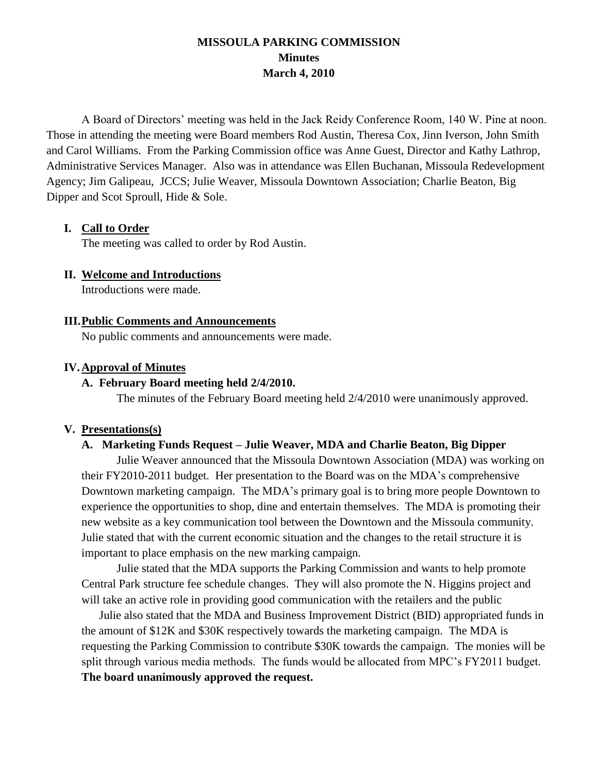# **MISSOULA PARKING COMMISSION Minutes March 4, 2010**

A Board of Directors' meeting was held in the Jack Reidy Conference Room, 140 W. Pine at noon. Those in attending the meeting were Board members Rod Austin, Theresa Cox, Jinn Iverson, John Smith and Carol Williams. From the Parking Commission office was Anne Guest, Director and Kathy Lathrop, Administrative Services Manager. Also was in attendance was Ellen Buchanan, Missoula Redevelopment Agency; Jim Galipeau, JCCS; Julie Weaver, Missoula Downtown Association; Charlie Beaton, Big Dipper and Scot Sproull, Hide & Sole.

#### **I. Call to Order**

The meeting was called to order by Rod Austin.

### **II. Welcome and Introductions**

Introductions were made.

#### **III.Public Comments and Announcements**

No public comments and announcements were made.

#### **IV.Approval of Minutes**

#### **A. February Board meeting held 2/4/2010.**

The minutes of the February Board meeting held 2/4/2010 were unanimously approved.

#### **V. Presentations(s)**

#### **A. Marketing Funds Request – Julie Weaver, MDA and Charlie Beaton, Big Dipper**

Julie Weaver announced that the Missoula Downtown Association (MDA) was working on their FY2010-2011 budget. Her presentation to the Board was on the MDA's comprehensive Downtown marketing campaign. The MDA's primary goal is to bring more people Downtown to experience the opportunities to shop, dine and entertain themselves. The MDA is promoting their new website as a key communication tool between the Downtown and the Missoula community. Julie stated that with the current economic situation and the changes to the retail structure it is important to place emphasis on the new marking campaign.

Julie stated that the MDA supports the Parking Commission and wants to help promote Central Park structure fee schedule changes. They will also promote the N. Higgins project and will take an active role in providing good communication with the retailers and the public

Julie also stated that the MDA and Business Improvement District (BID) appropriated funds in the amount of \$12K and \$30K respectively towards the marketing campaign. The MDA is requesting the Parking Commission to contribute \$30K towards the campaign. The monies will be split through various media methods. The funds would be allocated from MPC's FY2011 budget. **The board unanimously approved the request.**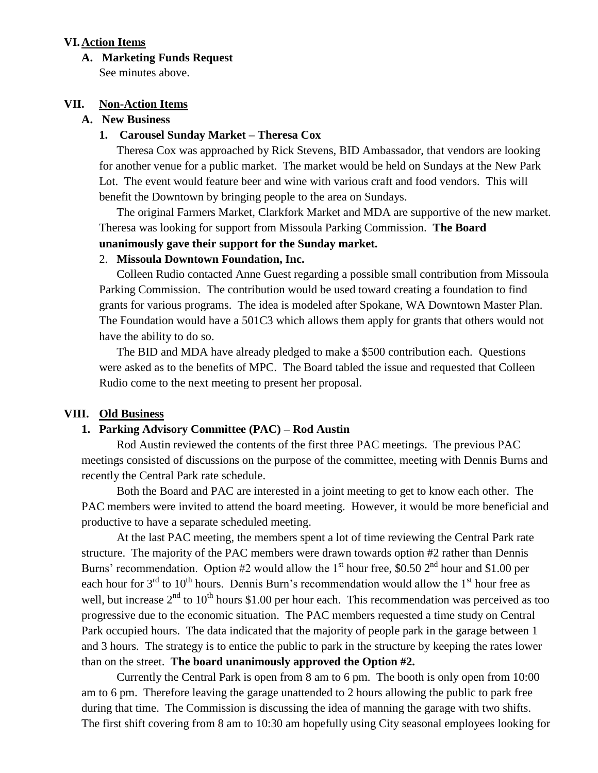#### **VI.Action Items**

#### **A. Marketing Funds Request**

See minutes above.

#### **VII. Non-Action Items**

### **A. New Business**

#### **1. Carousel Sunday Market – Theresa Cox**

Theresa Cox was approached by Rick Stevens, BID Ambassador, that vendors are looking for another venue for a public market. The market would be held on Sundays at the New Park Lot. The event would feature beer and wine with various craft and food vendors. This will benefit the Downtown by bringing people to the area on Sundays.

The original Farmers Market, Clarkfork Market and MDA are supportive of the new market. Theresa was looking for support from Missoula Parking Commission. **The Board unanimously gave their support for the Sunday market.**

#### 2. **Missoula Downtown Foundation, Inc.**

Colleen Rudio contacted Anne Guest regarding a possible small contribution from Missoula Parking Commission. The contribution would be used toward creating a foundation to find grants for various programs. The idea is modeled after Spokane, WA Downtown Master Plan. The Foundation would have a 501C3 which allows them apply for grants that others would not have the ability to do so.

The BID and MDA have already pledged to make a \$500 contribution each. Questions were asked as to the benefits of MPC. The Board tabled the issue and requested that Colleen Rudio come to the next meeting to present her proposal.

#### **VIII. Old Business**

#### **1. Parking Advisory Committee (PAC) – Rod Austin**

Rod Austin reviewed the contents of the first three PAC meetings. The previous PAC meetings consisted of discussions on the purpose of the committee, meeting with Dennis Burns and recently the Central Park rate schedule.

Both the Board and PAC are interested in a joint meeting to get to know each other. The PAC members were invited to attend the board meeting. However, it would be more beneficial and productive to have a separate scheduled meeting.

At the last PAC meeting, the members spent a lot of time reviewing the Central Park rate structure. The majority of the PAC members were drawn towards option #2 rather than Dennis Burns' recommendation. Option #2 would allow the  $1<sup>st</sup>$  hour free, \$0.50  $2<sup>nd</sup>$  hour and \$1.00 per each hour for  $3<sup>rd</sup>$  to  $10<sup>th</sup>$  hours. Dennis Burn's recommendation would allow the  $1<sup>st</sup>$  hour free as well, but increase  $2<sup>nd</sup>$  to 10<sup>th</sup> hours \$1.00 per hour each. This recommendation was perceived as too progressive due to the economic situation. The PAC members requested a time study on Central Park occupied hours. The data indicated that the majority of people park in the garage between 1 and 3 hours. The strategy is to entice the public to park in the structure by keeping the rates lower than on the street. **The board unanimously approved the Option #2.**

Currently the Central Park is open from 8 am to 6 pm. The booth is only open from 10:00 am to 6 pm. Therefore leaving the garage unattended to 2 hours allowing the public to park free during that time. The Commission is discussing the idea of manning the garage with two shifts. The first shift covering from 8 am to 10:30 am hopefully using City seasonal employees looking for